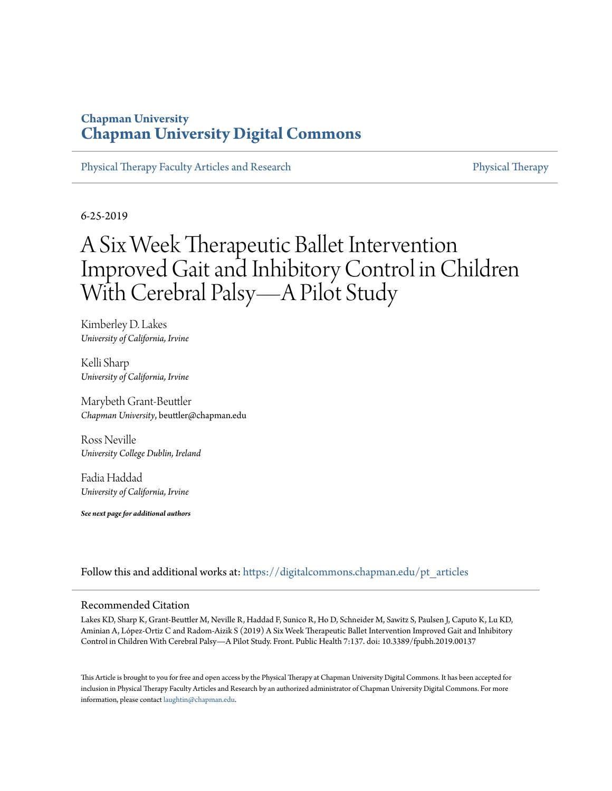# **Chapman University [Chapman University Digital Commons](https://digitalcommons.chapman.edu?utm_source=digitalcommons.chapman.edu%2Fpt_articles%2F117&utm_medium=PDF&utm_campaign=PDFCoverPages)**

[Physical Therapy Faculty Articles and Research](https://digitalcommons.chapman.edu/pt_articles?utm_source=digitalcommons.chapman.edu%2Fpt_articles%2F117&utm_medium=PDF&utm_campaign=PDFCoverPages) **[Physical Therapy](https://digitalcommons.chapman.edu/physicaltherapy?utm_source=digitalcommons.chapman.edu%2Fpt_articles%2F117&utm_medium=PDF&utm_campaign=PDFCoverPages)** Physical Therapy

6-25-2019

# A Six Week Therapeutic Ballet Intervention Improved Gait and Inhibitory Control in Children With Cerebral Palsy—A Pilot Study

Kimberley D. Lakes *University of California, Irvine*

Kelli Sharp *University of California, Irvine*

Marybeth Grant-Beuttler *Chapman University*, beuttler@chapman.edu

Ross Neville *University College Dublin, Ireland*

Fadia Haddad *University of California, Irvine*

*See next page for additional authors*

Follow this and additional works at: [https://digitalcommons.chapman.edu/pt\\_articles](https://digitalcommons.chapman.edu/pt_articles?utm_source=digitalcommons.chapman.edu%2Fpt_articles%2F117&utm_medium=PDF&utm_campaign=PDFCoverPages)

#### Recommended Citation

Lakes KD, Sharp K, Grant-Beuttler M, Neville R, Haddad F, Sunico R, Ho D, Schneider M, Sawitz S, Paulsen J, Caputo K, Lu KD, Aminian A, López-Ortiz C and Radom-Aizik S (2019) A Six Week Therapeutic Ballet Intervention Improved Gait and Inhibitory Control in Children With Cerebral Palsy—A Pilot Study. Front. Public Health 7:137. doi: 10.3389/fpubh.2019.00137

This Article is brought to you for free and open access by the Physical Therapy at Chapman University Digital Commons. It has been accepted for inclusion in Physical Therapy Faculty Articles and Research by an authorized administrator of Chapman University Digital Commons. For more information, please contact [laughtin@chapman.edu](mailto:laughtin@chapman.edu).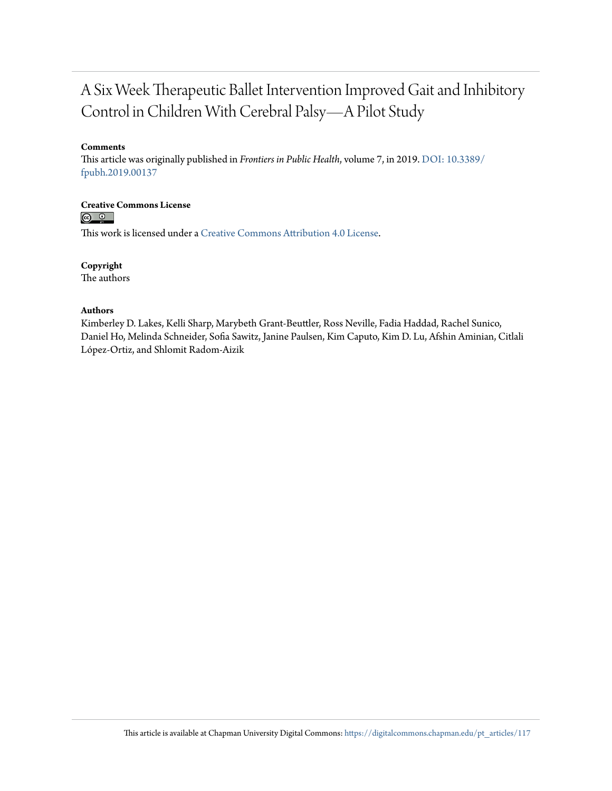# A Six Week Therapeutic Ballet Intervention Improved Gait and Inhibitory Control in Children With Cerebral Palsy—A Pilot Study

### **Comments**

This article was originally published in *Frontiers in Public Health*, volume 7, in 2019. [DOI: 10.3389/](https://doi.org/10.3389/fpubh.2019.00137) [fpubh.2019.00137](https://doi.org/10.3389/fpubh.2019.00137)

### **Creative Commons License**

 $\circ$   $\circ$ 

This work is licensed under a [Creative Commons Attribution 4.0 License.](https://creativecommons.org/licenses/by/4.0/)

**Copyright**

The authors

#### **Authors**

Kimberley D. Lakes, Kelli Sharp, Marybeth Grant-Beuttler, Ross Neville, Fadia Haddad, Rachel Sunico, Daniel Ho, Melinda Schneider, Sofia Sawitz, Janine Paulsen, Kim Caputo, Kim D. Lu, Afshin Aminian, Citlali López-Ortiz, and Shlomit Radom-Aizik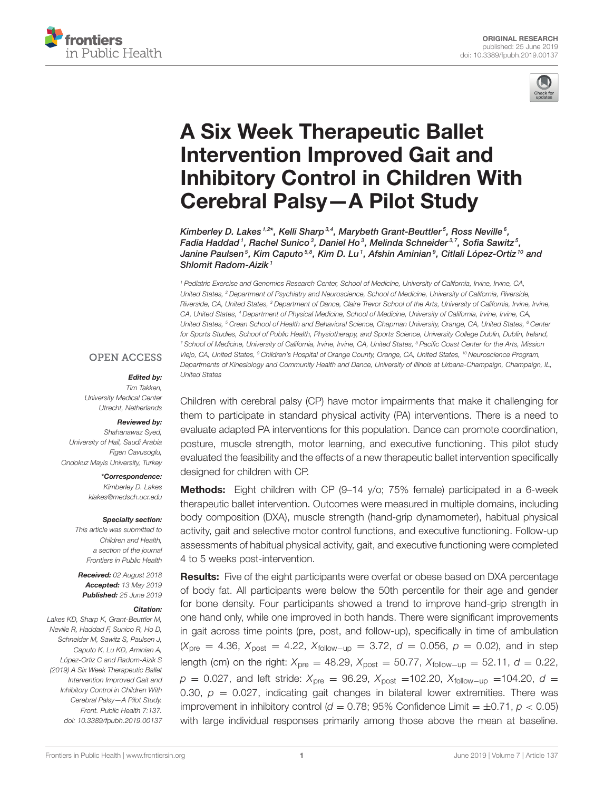



# A Six Week Therapeutic Ballet Intervention Improved Gait and [Inhibitory Control in Children With](https://www.frontiersin.org/articles/10.3389/fpubh.2019.00137/full) Cerebral Palsy—A Pilot Study

[Kimberley D. Lakes](http://loop.frontiersin.org/people/596446/overview)<sup>1,2\*</sup>, Kelli Sharp<sup>3,4</sup>, [Marybeth Grant-Beuttler](http://loop.frontiersin.org/people/34057/overview)<sup>5</sup>, [Ross Neville](http://loop.frontiersin.org/people/636144/overview)<sup>6</sup>, [Fadia Haddad](http://loop.frontiersin.org/people/115188/overview)1, [Rachel Sunico](http://loop.frontiersin.org/people/597855/overview)3, Daniel Ho3, [Melinda Schneider](http://loop.frontiersin.org/people/596471/overview)3,7, Sofia Sawitz5, Janine Paulsen $^5$ , Kim Caputo $^{5,8}$ , Kim D. Lu $^1$ , Afshin Aminian $^9$ , [Citlali López-Ortiz](http://loop.frontiersin.org/people/76456/overview) $^{10}$  and [Shlomit Radom-Aizik](http://loop.frontiersin.org/people/640865/overview) <sup>1</sup>

<sup>1</sup> Pediatric Exercise and Genomics Research Center, School of Medicine, University of California, Irvine, Irvine, CA, United States, <sup>2</sup> Department of Psychiatry and Neuroscience, School of Medicine, University of California, Riverside, Riverside, CA, United States, <sup>3</sup> Department of Dance, Claire Trevor School of the Arts, University of California. Irvine. Irvine. CA, United States, <sup>4</sup> Department of Physical Medicine, School of Medicine, University of California, Irvine, Irvine, CA, United States, <sup>5</sup> Crean School of Health and Behavioral Science, Chapman University, Orange, CA, United States, <sup>6</sup> Center for Sports Studies, School of Public Health, Physiotherapy, and Sports Science, University College Dublin, Dublin, Ireland, <sup>7</sup> School of Medicine, University of California, Irvine, Irvine, CA, United States, <sup>8</sup> Pacific Coast Center for the Arts, Mission Viejo, CA, United States, <sup>9</sup> Children's Hospital of Orange County, Orange, CA, United States, <sup>10</sup> Neuroscience Program, Departments of Kinesiology and Community Health and Dance, University of Illinois at Urbana-Champaign, Champaign, IL, United States

## **OPEN ACCESS**

#### Edited by:

Tim Takken, University Medical Center Utrecht, Netherlands

# Reviewed by:

Shahanawaz Syed, University of Hail, Saudi Arabia Figen Cavusoglu, Ondokuz Mayis University, Turkey

> \*Correspondence: Kimberley D. Lakes [klakes@medsch.ucr.edu](mailto:klakes@medsch.ucr.edu)

#### Specialty section:

This article was submitted to Children and Health, a section of the journal Frontiers in Public Health

Received: 02 August 2018 Accepted: 13 May 2019 Published: 25 June 2019

#### Citation:

Lakes KD, Sharp K, Grant-Beuttler M, Neville R, Haddad F, Sunico R, Ho D, Schneider M, Sawitz S, Paulsen J, Caputo K, Lu KD, Aminian A, López-Ortiz C and Radom-Aizik S (2019) A Six Week Therapeutic Ballet Intervention Improved Gait and Inhibitory Control in Children With Cerebral Palsy—A Pilot Study. Front. Public Health 7:137. doi: [10.3389/fpubh.2019.00137](https://doi.org/10.3389/fpubh.2019.00137) Children with cerebral palsy (CP) have motor impairments that make it challenging for them to participate in standard physical activity (PA) interventions. There is a need to evaluate adapted PA interventions for this population. Dance can promote coordination, posture, muscle strength, motor learning, and executive functioning. This pilot study evaluated the feasibility and the effects of a new therapeutic ballet intervention specifically designed for children with CP.

Methods: Eight children with CP (9–14 y/o; 75% female) participated in a 6-week therapeutic ballet intervention. Outcomes were measured in multiple domains, including body composition (DXA), muscle strength (hand-grip dynamometer), habitual physical activity, gait and selective motor control functions, and executive functioning. Follow-up assessments of habitual physical activity, gait, and executive functioning were completed 4 to 5 weeks post-intervention.

**Results:** Five of the eight participants were overfat or obese based on DXA percentage of body fat. All participants were below the 50th percentile for their age and gender for bone density. Four participants showed a trend to improve hand-grip strength in one hand only, while one improved in both hands. There were significant improvements in gait across time points (pre, post, and follow-up), specifically in time of ambulation  $(X_{\text{pre}} = 4.36, X_{\text{post}} = 4.22, X_{\text{follow-up}} = 3.72, d = 0.056, p = 0.02$ , and in step length (cm) on the right:  $X_{\text{pre}} = 48.29$ ,  $X_{\text{post}} = 50.77$ ,  $X_{\text{follow-up}} = 52.11$ ,  $d = 0.22$ ,  $p = 0.027$ , and left stride:  $X_{\text{pre}} = 96.29$ ,  $X_{\text{post}} = 102.20$ ,  $X_{\text{follow-up}} = 104.20$ ,  $d =$ 0.30,  $p = 0.027$ , indicating gait changes in bilateral lower extremities. There was improvement in inhibitory control ( $d = 0.78$ ; 95% Confidence Limit =  $\pm 0.71$ ,  $p < 0.05$ ) with large individual responses primarily among those above the mean at baseline.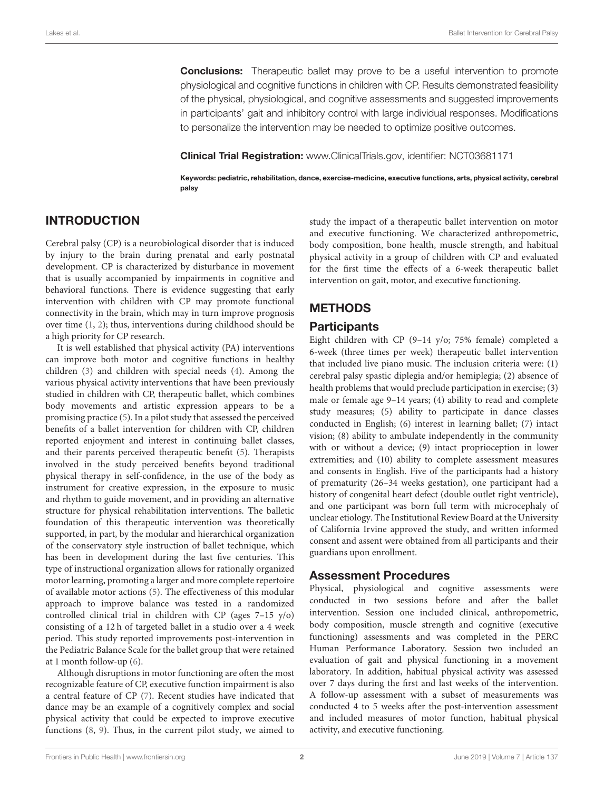**Conclusions:** Therapeutic ballet may prove to be a useful intervention to promote physiological and cognitive functions in children with CP. Results demonstrated feasibility of the physical, physiological, and cognitive assessments and suggested improvements in participants' gait and inhibitory control with large individual responses. Modifications to personalize the intervention may be needed to optimize positive outcomes.

Clinical Trial Registration: [www.ClinicalTrials.gov,](www.ClinicalTrials.gov) identifier: NCT03681171

Keywords: pediatric, rehabilitation, dance, exercise-medicine, executive functions, arts, physical activity, cerebral palsy

# INTRODUCTION

Cerebral palsy (CP) is a neurobiological disorder that is induced by injury to the brain during prenatal and early postnatal development. CP is characterized by disturbance in movement that is usually accompanied by impairments in cognitive and behavioral functions. There is evidence suggesting that early intervention with children with CP may promote functional connectivity in the brain, which may in turn improve prognosis over time [\(1,](#page-11-0) [2\)](#page-11-1); thus, interventions during childhood should be a high priority for CP research.

It is well established that physical activity (PA) interventions can improve both motor and cognitive functions in healthy children [\(3\)](#page-11-2) and children with special needs [\(4\)](#page-11-3). Among the various physical activity interventions that have been previously studied in children with CP, therapeutic ballet, which combines body movements and artistic expression appears to be a promising practice [\(5\)](#page-11-4). In a pilot study that assessed the perceived benefits of a ballet intervention for children with CP, children reported enjoyment and interest in continuing ballet classes, and their parents perceived therapeutic benefit [\(5\)](#page-11-4). Therapists involved in the study perceived benefits beyond traditional physical therapy in self-confidence, in the use of the body as instrument for creative expression, in the exposure to music and rhythm to guide movement, and in providing an alternative structure for physical rehabilitation interventions. The balletic foundation of this therapeutic intervention was theoretically supported, in part, by the modular and hierarchical organization of the conservatory style instruction of ballet technique, which has been in development during the last five centuries. This type of instructional organization allows for rationally organized motor learning, promoting a larger and more complete repertoire of available motor actions [\(5\)](#page-11-4). The effectiveness of this modular approach to improve balance was tested in a randomized controlled clinical trial in children with CP (ages 7–15 y/o) consisting of a 12 h of targeted ballet in a studio over a 4 week period. This study reported improvements post-intervention in the Pediatric Balance Scale for the ballet group that were retained at 1 month follow-up [\(6\)](#page-11-5).

Although disruptions in motor functioning are often the most recognizable feature of CP, executive function impairment is also a central feature of CP [\(7\)](#page-11-6). Recent studies have indicated that dance may be an example of a cognitively complex and social physical activity that could be expected to improve executive functions [\(8,](#page-11-7) [9\)](#page-11-8). Thus, in the current pilot study, we aimed to study the impact of a therapeutic ballet intervention on motor and executive functioning. We characterized anthropometric, body composition, bone health, muscle strength, and habitual physical activity in a group of children with CP and evaluated for the first time the effects of a 6-week therapeutic ballet intervention on gait, motor, and executive functioning.

# METHODS

## **Participants**

Eight children with CP (9–14 y/o; 75% female) completed a 6-week (three times per week) therapeutic ballet intervention that included live piano music. The inclusion criteria were: (1) cerebral palsy spastic diplegia and/or hemiplegia; (2) absence of health problems that would preclude participation in exercise; (3) male or female age 9–14 years; (4) ability to read and complete study measures; (5) ability to participate in dance classes conducted in English; (6) interest in learning ballet; (7) intact vision; (8) ability to ambulate independently in the community with or without a device; (9) intact proprioception in lower extremities; and (10) ability to complete assessment measures and consents in English. Five of the participants had a history of prematurity (26–34 weeks gestation), one participant had a history of congenital heart defect (double outlet right ventricle), and one participant was born full term with microcephaly of unclear etiology. The Institutional Review Board at the University of California Irvine approved the study, and written informed consent and assent were obtained from all participants and their guardians upon enrollment.

## Assessment Procedures

Physical, physiological and cognitive assessments were conducted in two sessions before and after the ballet intervention. Session one included clinical, anthropometric, body composition, muscle strength and cognitive (executive functioning) assessments and was completed in the PERC Human Performance Laboratory. Session two included an evaluation of gait and physical functioning in a movement laboratory. In addition, habitual physical activity was assessed over 7 days during the first and last weeks of the intervention. A follow-up assessment with a subset of measurements was conducted 4 to 5 weeks after the post-intervention assessment and included measures of motor function, habitual physical activity, and executive functioning.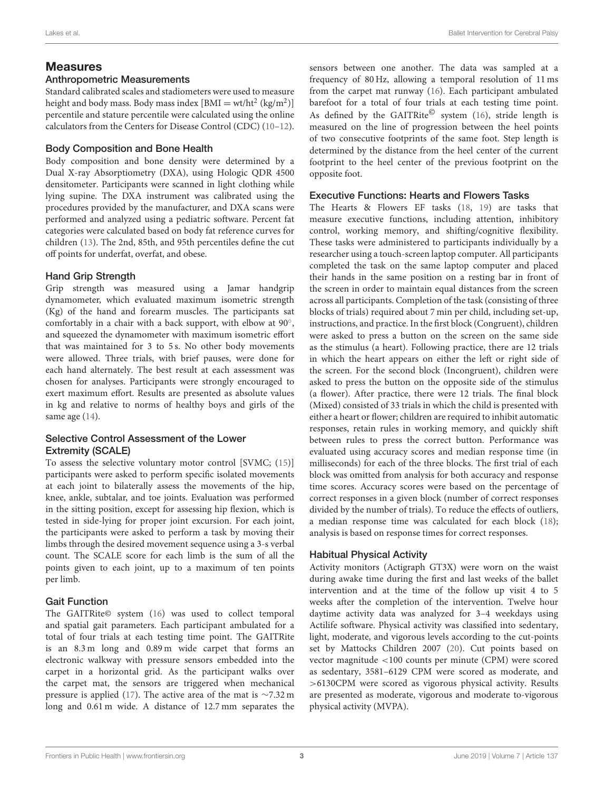# **Measures**

#### Anthropometric Measurements

Standard calibrated scales and stadiometers were used to measure height and body mass. Body mass index  $[BMI = wt/ht^2 (kg/m^2)]$ percentile and stature percentile were calculated using the online calculators from the Centers for Disease Control (CDC) [\(10–](#page-11-9)[12\)](#page-11-10).

## Body Composition and Bone Health

Body composition and bone density were determined by a Dual X-ray Absorptiometry (DXA), using Hologic QDR 4500 densitometer. Participants were scanned in light clothing while lying supine. The DXA instrument was calibrated using the procedures provided by the manufacturer, and DXA scans were performed and analyzed using a pediatric software. Percent fat categories were calculated based on body fat reference curves for children [\(13\)](#page-11-11). The 2nd, 85th, and 95th percentiles define the cut off points for underfat, overfat, and obese.

## Hand Grip Strength

Grip strength was measured using a Jamar handgrip dynamometer, which evaluated maximum isometric strength (Kg) of the hand and forearm muscles. The participants sat comfortably in a chair with a back support, with elbow at 90◦ , and squeezed the dynamometer with maximum isometric effort that was maintained for 3 to 5 s. No other body movements were allowed. Three trials, with brief pauses, were done for each hand alternately. The best result at each assessment was chosen for analyses. Participants were strongly encouraged to exert maximum effort. Results are presented as absolute values in kg and relative to norms of healthy boys and girls of the same age [\(14\)](#page-11-12).

### Selective Control Assessment of the Lower Extremity (SCALE)

To assess the selective voluntary motor control [SVMC; [\(15\)](#page-11-13)] participants were asked to perform specific isolated movements at each joint to bilaterally assess the movements of the hip, knee, ankle, subtalar, and toe joints. Evaluation was performed in the sitting position, except for assessing hip flexion, which is tested in side-lying for proper joint excursion. For each joint, the participants were asked to perform a task by moving their limbs through the desired movement sequence using a 3-s verbal count. The SCALE score for each limb is the sum of all the points given to each joint, up to a maximum of ten points per limb.

## Gait Function

The GAITRite© system [\(16\)](#page-11-14) was used to collect temporal and spatial gait parameters. Each participant ambulated for a total of four trials at each testing time point. The GAITRite is an 8.3 m long and 0.89 m wide carpet that forms an electronic walkway with pressure sensors embedded into the carpet in a horizontal grid. As the participant walks over the carpet mat, the sensors are triggered when mechanical pressure is applied [\(17\)](#page-11-15). The active area of the mat is ∼7.32 m long and 0.61 m wide. A distance of 12.7 mm separates the sensors between one another. The data was sampled at a frequency of 80 Hz, allowing a temporal resolution of 11 ms from the carpet mat runway [\(16\)](#page-11-14). Each participant ambulated barefoot for a total of four trials at each testing time point. As defined by the GAITRite<sup> $\odot$ </sup> system [\(16\)](#page-11-14), stride length is measured on the line of progression between the heel points of two consecutive footprints of the same foot. Step length is determined by the distance from the heel center of the current footprint to the heel center of the previous footprint on the opposite foot.

### Executive Functions: Hearts and Flowers Tasks

The Hearts & Flowers EF tasks [\(18,](#page-11-16) [19\)](#page-11-17) are tasks that measure executive functions, including attention, inhibitory control, working memory, and shifting/cognitive flexibility. These tasks were administered to participants individually by a researcher using a touch-screen laptop computer. All participants completed the task on the same laptop computer and placed their hands in the same position on a resting bar in front of the screen in order to maintain equal distances from the screen across all participants. Completion of the task (consisting of three blocks of trials) required about 7 min per child, including set-up, instructions, and practice. In the first block (Congruent), children were asked to press a button on the screen on the same side as the stimulus (a heart). Following practice, there are 12 trials in which the heart appears on either the left or right side of the screen. For the second block (Incongruent), children were asked to press the button on the opposite side of the stimulus (a flower). After practice, there were 12 trials. The final block (Mixed) consisted of 33 trials in which the child is presented with either a heart or flower; children are required to inhibit automatic responses, retain rules in working memory, and quickly shift between rules to press the correct button. Performance was evaluated using accuracy scores and median response time (in milliseconds) for each of the three blocks. The first trial of each block was omitted from analysis for both accuracy and response time scores. Accuracy scores were based on the percentage of correct responses in a given block (number of correct responses divided by the number of trials). To reduce the effects of outliers, a median response time was calculated for each block [\(18\)](#page-11-16); analysis is based on response times for correct responses.

## Habitual Physical Activity

Activity monitors (Actigraph GT3X) were worn on the waist during awake time during the first and last weeks of the ballet intervention and at the time of the follow up visit 4 to 5 weeks after the completion of the intervention. Twelve hour daytime activity data was analyzed for 3–4 weekdays using Actilife software. Physical activity was classified into sedentary, light, moderate, and vigorous levels according to the cut-points set by Mattocks Children 2007 [\(20\)](#page-11-18). Cut points based on vector magnitude <100 counts per minute (CPM) were scored as sedentary, 3581–6129 CPM were scored as moderate, and >6130CPM were scored as vigorous physical activity. Results are presented as moderate, vigorous and moderate to-vigorous physical activity (MVPA).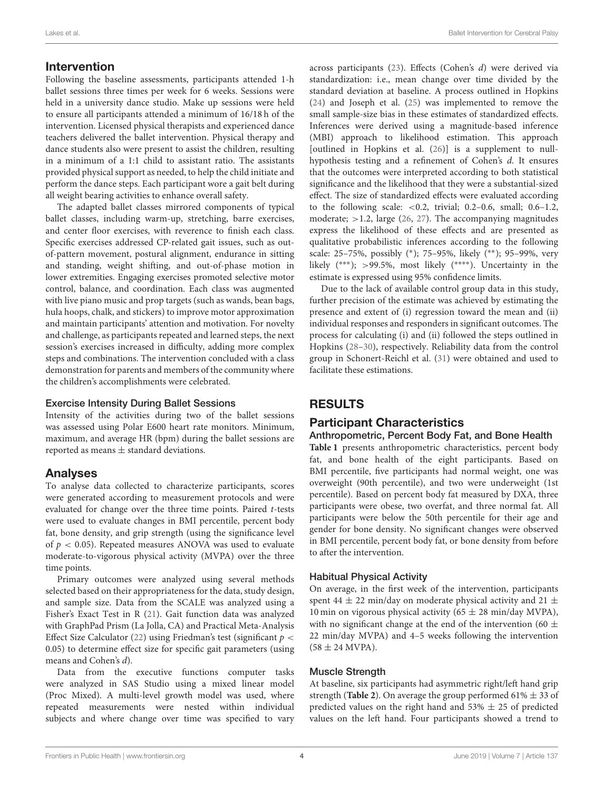### Intervention

Following the baseline assessments, participants attended 1-h ballet sessions three times per week for 6 weeks. Sessions were held in a university dance studio. Make up sessions were held to ensure all participants attended a minimum of 16/18 h of the intervention. Licensed physical therapists and experienced dance teachers delivered the ballet intervention. Physical therapy and dance students also were present to assist the children, resulting in a minimum of a 1:1 child to assistant ratio. The assistants provided physical support as needed, to help the child initiate and perform the dance steps. Each participant wore a gait belt during all weight bearing activities to enhance overall safety.

The adapted ballet classes mirrored components of typical ballet classes, including warm-up, stretching, barre exercises, and center floor exercises, with reverence to finish each class. Specific exercises addressed CP-related gait issues, such as outof-pattern movement, postural alignment, endurance in sitting and standing, weight shifting, and out-of-phase motion in lower extremities. Engaging exercises promoted selective motor control, balance, and coordination. Each class was augmented with live piano music and prop targets (such as wands, bean bags, hula hoops, chalk, and stickers) to improve motor approximation and maintain participants' attention and motivation. For novelty and challenge, as participants repeated and learned steps, the next session's exercises increased in difficulty, adding more complex steps and combinations. The intervention concluded with a class demonstration for parents and members of the community where the children's accomplishments were celebrated.

#### Exercise Intensity During Ballet Sessions

Intensity of the activities during two of the ballet sessions was assessed using Polar E600 heart rate monitors. Minimum, maximum, and average HR (bpm) during the ballet sessions are reported as means ± standard deviations.

# Analyses

To analyse data collected to characterize participants, scores were generated according to measurement protocols and were evaluated for change over the three time points. Paired t-tests were used to evaluate changes in BMI percentile, percent body fat, bone density, and grip strength (using the significance level of  $p < 0.05$ ). Repeated measures ANOVA was used to evaluate moderate-to-vigorous physical activity (MVPA) over the three time points.

Primary outcomes were analyzed using several methods selected based on their appropriateness for the data, study design, and sample size. Data from the SCALE was analyzed using a Fisher's Exact Test in R [\(21\)](#page-11-19). Gait function data was analyzed with GraphPad Prism (La Jolla, CA) and Practical Meta-Analysis Effect Size Calculator [\(22\)](#page-11-20) using Friedman's test (significant  $p <$ 0.05) to determine effect size for specific gait parameters (using means and Cohen's d).

Data from the executive functions computer tasks were analyzed in SAS Studio using a mixed linear model (Proc Mixed). A multi-level growth model was used, where repeated measurements were nested within individual subjects and where change over time was specified to vary across participants [\(23\)](#page-11-21). Effects (Cohen's d) were derived via standardization: i.e., mean change over time divided by the standard deviation at baseline. A process outlined in Hopkins [\(24\)](#page-11-22) and Joseph et al. [\(25\)](#page-11-23) was implemented to remove the small sample-size bias in these estimates of standardized effects. Inferences were derived using a magnitude-based inference (MBI) approach to likelihood estimation. This approach [outlined in Hopkins et al. [\(26\)](#page-11-24)] is a supplement to nullhypothesis testing and a refinement of Cohen's d. It ensures that the outcomes were interpreted according to both statistical significance and the likelihood that they were a substantial-sized effect. The size of standardized effects were evaluated according to the following scale:  $< 0.2$ , trivial; 0.2–0.6, small; 0.6–1.2, moderate;  $>1.2$ , large [\(26,](#page-11-24) [27\)](#page-11-25). The accompanying magnitudes express the likelihood of these effects and are presented as qualitative probabilistic inferences according to the following scale: 25-75%, possibly (\*); 75-95%, likely (\*\*); 95-99%, very likely (∗∗∗); >99.5%, most likely (∗∗∗∗). Uncertainty in the estimate is expressed using 95% confidence limits.

Due to the lack of available control group data in this study, further precision of the estimate was achieved by estimating the presence and extent of (i) regression toward the mean and (ii) individual responses and responders in significant outcomes. The process for calculating (i) and (ii) followed the steps outlined in Hopkins [\(28](#page-11-26)[–30\)](#page-11-27), respectively. Reliability data from the control group in Schonert-Reichl et al. [\(31\)](#page-11-28) were obtained and used to facilitate these estimations.

# RESULTS

# Participant Characteristics

#### Anthropometric, Percent Body Fat, and Bone Health

**[Table 1](#page-6-0)** presents anthropometric characteristics, percent body fat, and bone health of the eight participants. Based on BMI percentile, five participants had normal weight, one was overweight (90th percentile), and two were underweight (1st percentile). Based on percent body fat measured by DXA, three participants were obese, two overfat, and three normal fat. All participants were below the 50th percentile for their age and gender for bone density. No significant changes were observed in BMI percentile, percent body fat, or bone density from before to after the intervention.

#### Habitual Physical Activity

On average, in the first week of the intervention, participants spent 44  $\pm$  22 min/day on moderate physical activity and 21  $\pm$ 10 min on vigorous physical activity (65  $\pm$  28 min/day MVPA), with no significant change at the end of the intervention (60  $\pm$ 22 min/day MVPA) and 4–5 weeks following the intervention  $(58 \pm 24 \text{ MVPA}).$ 

#### Muscle Strength

At baseline, six participants had asymmetric right/left hand grip strength (**[Table 2](#page-6-1)**). On average the group performed  $61\% \pm 33$  of predicted values on the right hand and  $53\% \pm 25$  of predicted values on the left hand. Four participants showed a trend to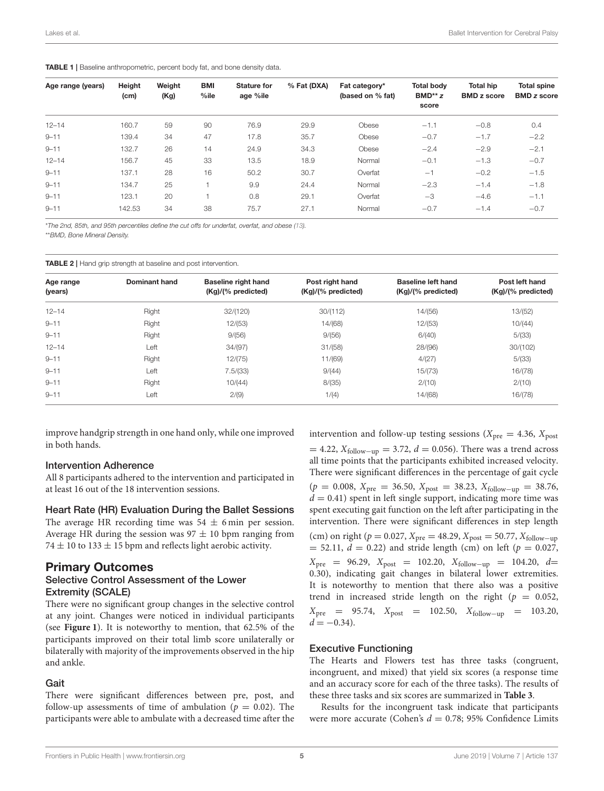<span id="page-6-0"></span>TABLE 1 | Baseline anthropometric, percent body fat, and bone density data.

| Age range (years) | Height<br>(cm) | Weight<br>(Kg) | <b>BMI</b><br>$%$ ile | <b>Stature for</b><br>age %ile | % Fat (DXA) | Fat category*<br>(based on % fat) | <b>Total body</b><br>$BMD** z$<br>score | <b>Total hip</b><br><b>BMD z score</b> | <b>Total spine</b><br><b>BMD z score</b> |
|-------------------|----------------|----------------|-----------------------|--------------------------------|-------------|-----------------------------------|-----------------------------------------|----------------------------------------|------------------------------------------|
| $12 - 14$         | 160.7          | 59             | 90                    | 76.9                           | 29.9        | Obese                             | $-1.1$                                  | $-0.8$                                 | 0.4                                      |
| $9 - 11$          | 139.4          | 34             | 47                    | 17.8                           | 35.7        | Obese                             | $-0.7$                                  | $-1.7$                                 | $-2.2$                                   |
| $9 - 11$          | 132.7          | 26             | 14                    | 24.9                           | 34.3        | Obese                             | $-2.4$                                  | $-2.9$                                 | $-2.1$                                   |
| $12 - 14$         | 156.7          | 45             | 33                    | 13.5                           | 18.9        | Normal                            | $-0.1$                                  | $-1.3$                                 | $-0.7$                                   |
| $9 - 11$          | 137.1          | 28             | 16                    | 50.2                           | 30.7        | Overfat                           | $-1$                                    | $-0.2$                                 | $-1.5$                                   |
| $9 - 11$          | 134.7          | 25             |                       | 9.9                            | 24.4        | Normal                            | $-2.3$                                  | $-1.4$                                 | $-1.8$                                   |
| $9 - 11$          | 123.1          | 20             |                       | 0.8                            | 29.1        | Overfat                           | $-3$                                    | $-4.6$                                 | $-1.1$                                   |
| $9 - 11$          | 142.53         | 34             | 38                    | 75.7                           | 27.1        | Normal                            | $-0.7$                                  | $-1.4$                                 | $-0.7$                                   |

\*The 2nd, 85th, and 95th percentiles define the cut offs for underfat, overfat, and obese [\(13\)](#page-11-11).

\*\*BMD, Bone Mineral Density.

<span id="page-6-1"></span>TABLE 2 | Hand grip strength at baseline and post intervention.

| Age range<br>(years) | <b>Dominant hand</b> | <b>Baseline right hand</b><br>$(Kg)/(%$ predicted) | Post right hand<br>$(Kg)/(%$ predicted) | <b>Baseline left hand</b><br>$(Kg)/(%$ predicted) | Post left hand<br>$(Kg)/(%$ predicted) |
|----------------------|----------------------|----------------------------------------------------|-----------------------------------------|---------------------------------------------------|----------------------------------------|
| $12 - 14$            | Right                | 32/(120)                                           | 30/(112)                                | 14/(56)                                           | 13/(52)                                |
| $9 - 11$             | Right                | 12/(53)                                            | 14/(68)                                 | 12/(53)                                           | 10/(44)                                |
| $9 - 11$             | Right                | 9/(56)                                             | 9/(56)                                  | 6/(40)                                            | 5/(33)                                 |
| $12 - 14$            | Left                 | 34/(97)                                            | 31/(58)                                 | 28/(96)                                           | 30/(102)                               |
| $9 - 11$             | Right                | 12/(75)                                            | 11/(69)                                 | 4/(27)                                            | 5/(33)                                 |
| $9 - 11$             | Left                 | 7.5/(33)                                           | 9/(44)                                  | 15/(73)                                           | 16/(78)                                |
| $9 - 11$             | Right                | 10/(44)                                            | 8/(35)                                  | 2/(10)                                            | 2/(10)                                 |
| $9 - 11$             | Left                 | 2/(9)                                              | 1/(4)                                   | 14/(68)                                           | 16/(78)                                |

improve handgrip strength in one hand only, while one improved in both hands.

#### Intervention Adherence

All 8 participants adhered to the intervention and participated in at least 16 out of the 18 intervention sessions.

Heart Rate (HR) Evaluation During the Ballet Sessions The average HR recording time was  $54 \pm 6$  min per session. Average HR during the session was  $97 \pm 10$  bpm ranging from  $74 \pm 10$  to 133  $\pm$  15 bpm and reflects light aerobic activity.

## Primary Outcomes

#### Selective Control Assessment of the Lower Extremity (SCALE)

There were no significant group changes in the selective control at any joint. Changes were noticed in individual participants (see **[Figure 1](#page-7-0)**). It is noteworthy to mention, that 62.5% of the participants improved on their total limb score unilaterally or bilaterally with majority of the improvements observed in the hip and ankle.

#### **Gait**

There were significant differences between pre, post, and follow-up assessments of time of ambulation ( $p = 0.02$ ). The participants were able to ambulate with a decreased time after the intervention and follow-up testing sessions ( $X<sub>pre</sub> = 4.36$ ,  $X<sub>post</sub>$ )  $= 4.22, X_{\text{follow-up}} = 3.72, d = 0.056$ . There was a trend across all time points that the participants exhibited increased velocity. There were significant differences in the percentage of gait cycle  $(p = 0.008, X_{pre} = 36.50, X_{post} = 38.23, X_{follow-up} = 38.76,$  $d = 0.41$ ) spent in left single support, indicating more time was spent executing gait function on the left after participating in the intervention. There were significant differences in step length (cm) on right ( $p = 0.027$ ,  $X_{pre} = 48.29$ ,  $X_{post} = 50.77$ ,  $X_{follow-up}$  $= 52.11, d = 0.22$ ) and stride length (cm) on left ( $p = 0.027$ ,  $X_{\text{pre}}$  = 96.29,  $X_{\text{post}}$  = 102.20,  $X_{\text{follow-up}}$  = 104.20, d= 0.30), indicating gait changes in bilateral lower extremities. It is noteworthy to mention that there also was a positive trend in increased stride length on the right ( $p = 0.052$ ,  $X_{\text{pre}}$  = 95.74,  $X_{\text{post}}$  = 102.50,  $X_{\text{follow-up}}$  = 103.20,  $d = -0.34$ ).

#### Executive Functioning

The Hearts and Flowers test has three tasks (congruent, incongruent, and mixed) that yield six scores (a response time and an accuracy score for each of the three tasks). The results of these three tasks and six scores are summarized in **[Table 3](#page-8-0)**.

Results for the incongruent task indicate that participants were more accurate (Cohen's  $d = 0.78$ ; 95% Confidence Limits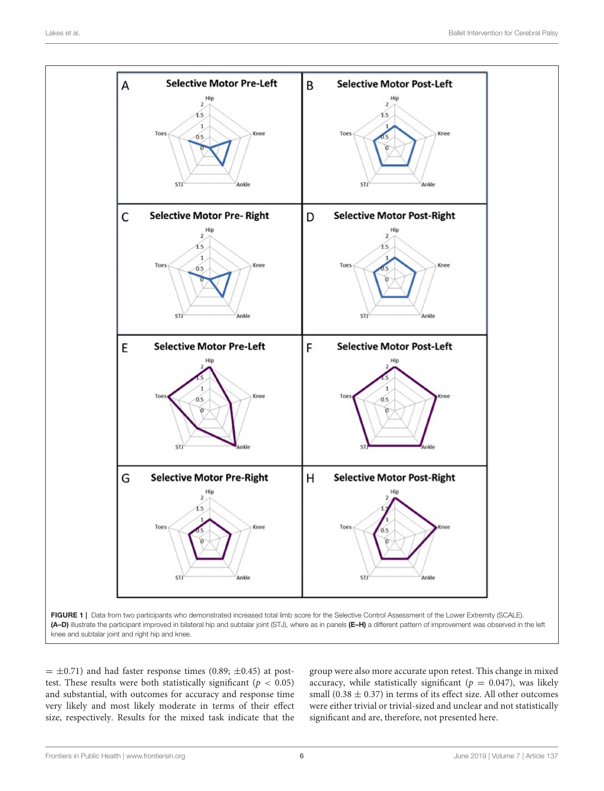

<span id="page-7-0"></span> $= \pm 0.71$ ) and had faster response times (0.89;  $\pm 0.45$ ) at posttest. These results were both statistically significant ( $p < 0.05$ ) and substantial, with outcomes for accuracy and response time very likely and most likely moderate in terms of their effect size, respectively. Results for the mixed task indicate that the group were also more accurate upon retest. This change in mixed accuracy, while statistically significant ( $p = 0.047$ ), was likely small (0.38  $\pm$  0.37) in terms of its effect size. All other outcomes were either trivial or trivial-sized and unclear and not statistically significant and are, therefore, not presented here.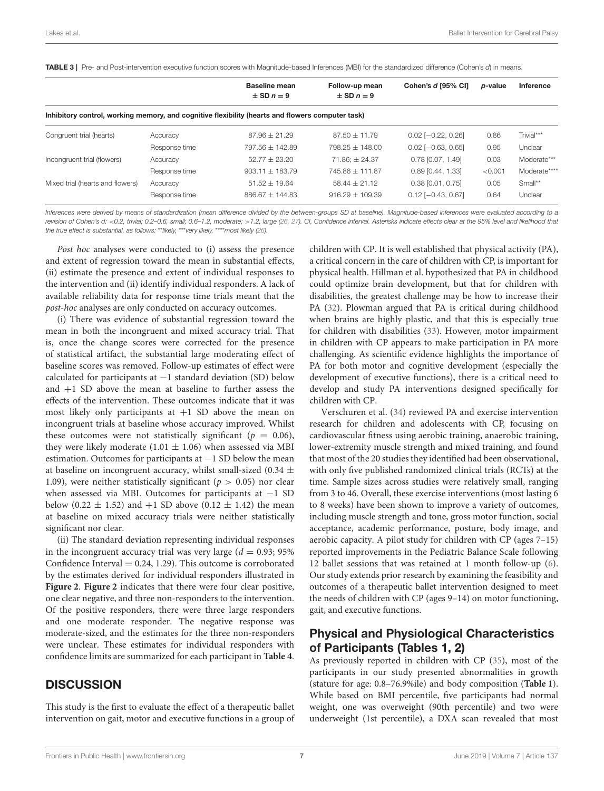<span id="page-8-0"></span>

|  |  |  |  |  | TABLE 3   Pre- and Post-intervention executive function scores with Magnitude-based Inferences (MBI) for the standardized difference (Cohen's d) in means. |
|--|--|--|--|--|------------------------------------------------------------------------------------------------------------------------------------------------------------|
|--|--|--|--|--|------------------------------------------------------------------------------------------------------------------------------------------------------------|

|                                                                                                  |               | <b>Baseline mean</b><br>$\pm$ SD $n = 9$ | Follow-up mean<br>$\pm$ SD $n=9$ | Cohen's d [95% CI]          | <i>p</i> -value | Inference    |
|--------------------------------------------------------------------------------------------------|---------------|------------------------------------------|----------------------------------|-----------------------------|-----------------|--------------|
| Inhibitory control, working memory, and cognitive flexibility (hearts and flowers computer task) |               |                                          |                                  |                             |                 |              |
| Congruent trial (hearts)                                                                         | Accuracy      | $87.96 + 21.29$                          | $87.50 + 11.79$                  | $0.02$ [ $-0.22$ , 0.26]    | 0.86            | Trivial***   |
|                                                                                                  | Response time | $797.56 + 142.89$                        | $798.25 \pm 148.00$              | $0.02$ [ $-0.63$ , $0.65$ ] | 0.95            | Unclear      |
| Incongruent trial (flowers)                                                                      | Accuracy      | $52.77 + 23.20$                          | $71.86: \pm 24.37$               | $0.78$ [0.07, 1.49]         | 0.03            | Moderate***  |
|                                                                                                  | Response time | $903.11 + 183.79$                        | $745.86 + 111.87$                | 0.89 [0.44, 1.33]           | < 0.001         | Moderate**** |
| Mixed trial (hearts and flowers)                                                                 | Accuracy      | $51.52 + 19.64$                          | $58.44 \pm 21.12$                | $0.38$ [0.01, 0.75]         | 0.05            | Small**      |
|                                                                                                  | Response time | $886.67 + 144.83$                        | $916.29 + 109.39$                | $0.12$ [-0.43, 0.67]        | 0.64            | Unclear      |

Inferences were derived by means of standardization (mean difference divided by the between-groups SD at baseline). Magnitude-based inferences were evaluated according to a revision of Cohen's d: <0.2, trivial; 0.2-0.6, small; 0.6-1.2, moderate; >1.2, large [\(26,](#page-11-24) [27\)](#page-11-25). CI, Confidence interval. Asterisks indicate effects clear at the 95% level and likelihood that the true effect is substantial, as follows: \*\*likely, \*\*\*very likely, \*\*\*\*most likely [\(26\)](#page-11-24).

Post hoc analyses were conducted to (i) assess the presence and extent of regression toward the mean in substantial effects, (ii) estimate the presence and extent of individual responses to the intervention and (ii) identify individual responders. A lack of available reliability data for response time trials meant that the post-hoc analyses are only conducted on accuracy outcomes.

(i) There was evidence of substantial regression toward the mean in both the incongruent and mixed accuracy trial. That is, once the change scores were corrected for the presence of statistical artifact, the substantial large moderating effect of baseline scores was removed. Follow-up estimates of effect were calculated for participants at −1 standard deviation (SD) below and +1 SD above the mean at baseline to further assess the effects of the intervention. These outcomes indicate that it was most likely only participants at  $+1$  SD above the mean on incongruent trials at baseline whose accuracy improved. Whilst these outcomes were not statistically significant ( $p = 0.06$ ), they were likely moderate (1.01  $\pm$  1.06) when assessed via MBI estimation. Outcomes for participants at −1 SD below the mean at baseline on incongruent accuracy, whilst small-sized (0.34  $\pm$ 1.09), were neither statistically significant ( $p > 0.05$ ) nor clear when assessed via MBI. Outcomes for participants at −1 SD below (0.22  $\pm$  1.52) and +1 SD above (0.12  $\pm$  1.42) the mean at baseline on mixed accuracy trials were neither statistically significant nor clear.

(ii) The standard deviation representing individual responses in the incongruent accuracy trial was very large  $(d = 0.93; 95\%)$ Confidence Interval  $= 0.24, 1.29$ . This outcome is corroborated by the estimates derived for individual responders illustrated in **[Figure 2](#page-9-0)**. **[Figure 2](#page-9-0)** indicates that there were four clear positive, one clear negative, and three non-responders to the intervention. Of the positive responders, there were three large responders and one moderate responder. The negative response was moderate-sized, and the estimates for the three non-responders were unclear. These estimates for individual responders with confidence limits are summarized for each participant in **[Table 4](#page-9-1)**.

### **DISCUSSION**

This study is the first to evaluate the effect of a therapeutic ballet intervention on gait, motor and executive functions in a group of children with CP. It is well established that physical activity (PA), a critical concern in the care of children with CP, is important for physical health. Hillman et al. hypothesized that PA in childhood could optimize brain development, but that for children with disabilities, the greatest challenge may be how to increase their PA [\(32\)](#page-11-29). Plowman argued that PA is critical during childhood when brains are highly plastic, and that this is especially true for children with disabilities [\(33\)](#page-11-30). However, motor impairment in children with CP appears to make participation in PA more challenging. As scientific evidence highlights the importance of PA for both motor and cognitive development (especially the development of executive functions), there is a critical need to develop and study PA interventions designed specifically for children with CP.

Verschuren et al. [\(34\)](#page-11-31) reviewed PA and exercise intervention research for children and adolescents with CP, focusing on cardiovascular fitness using aerobic training, anaerobic training, lower-extremity muscle strength and mixed training, and found that most of the 20 studies they identified had been observational, with only five published randomized clinical trials (RCTs) at the time. Sample sizes across studies were relatively small, ranging from 3 to 46. Overall, these exercise interventions (most lasting 6 to 8 weeks) have been shown to improve a variety of outcomes, including muscle strength and tone, gross motor function, social acceptance, academic performance, posture, body image, and aerobic capacity. A pilot study for children with CP (ages 7–15) reported improvements in the Pediatric Balance Scale following 12 ballet sessions that was retained at 1 month follow-up [\(6\)](#page-11-5). Our study extends prior research by examining the feasibility and outcomes of a therapeutic ballet intervention designed to meet the needs of children with CP (ages 9–14) on motor functioning, gait, and executive functions.

# Physical and Physiological Characteristics of Participants [\(Tables 1,](#page-6-0) [2\)](#page-6-1)

As previously reported in children with CP [\(35\)](#page-12-0), most of the participants in our study presented abnormalities in growth (stature for age: 0.8–76.9%ile) and body composition (**[Table 1](#page-6-0)**). While based on BMI percentile, five participants had normal weight, one was overweight (90th percentile) and two were underweight (1st percentile), a DXA scan revealed that most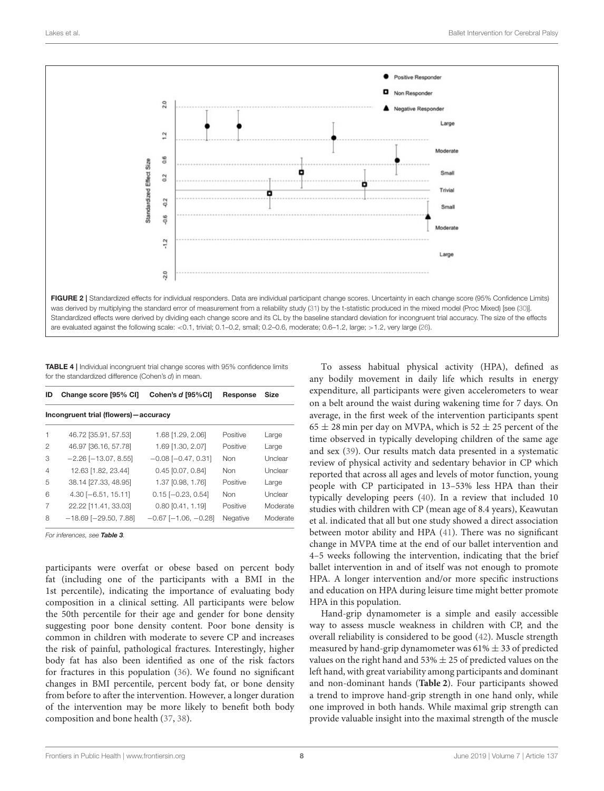

<span id="page-9-1"></span><span id="page-9-0"></span>TABLE 4 | Individual incongruent trial change scores with 95% confidence limits for the standardized difference (Cohen's d) in mean.

| ID             | Change score [95% CI]                  | Cohen's d [95%CI]             | Response   | <b>Size</b> |  |  |  |  |
|----------------|----------------------------------------|-------------------------------|------------|-------------|--|--|--|--|
|                | Incongruent trial (flowers) - accuracy |                               |            |             |  |  |  |  |
| 1              | 46.72 [35.91, 57.53]                   | 1.68 [1.29, 2.06]             | Positive   | Large       |  |  |  |  |
| $\mathcal{P}$  | 46.97 [36.16, 57.78]                   | 1.69 [1.30, 2.07]             | Positive   | Large       |  |  |  |  |
| 3              | $-2.26$ [ $-13.07$ , 8.55]             | $-0.08$ [ $-0.47, 0.31$ ]     | Non        | Unclear     |  |  |  |  |
| $\overline{4}$ | 12.63 [1.82, 23.44]                    | $0.45$ [0.07, 0.84]           | <b>Non</b> | Unclear     |  |  |  |  |
| 5              | 38.14 [27.33, 48.95]                   | 1.37 [0.98, 1.76]             | Positive   | Large       |  |  |  |  |
| 6              | $4.30[-6.51, 15.11]$                   | $0.15$ [ $-0.23$ , $0.54$ ]   | Non        | Unclear     |  |  |  |  |
| 7              | 22.22 [11.41, 33.03]                   | $0.80$ $[0.41, 1.19]$         | Positive   | Moderate    |  |  |  |  |
| 8              | $-18.69$ [ $-29.50$ , 7.88]            | $-0.67$ [ $-1.06$ , $-0.28$ ] | Negative   | Moderate    |  |  |  |  |

For inferences, see [Table 3](#page-8-0).

participants were overfat or obese based on percent body fat (including one of the participants with a BMI in the 1st percentile), indicating the importance of evaluating body composition in a clinical setting. All participants were below the 50th percentile for their age and gender for bone density suggesting poor bone density content. Poor bone density is common in children with moderate to severe CP and increases the risk of painful, pathological fractures. Interestingly, higher body fat has also been identified as one of the risk factors for fractures in this population [\(36\)](#page-12-1). We found no significant changes in BMI percentile, percent body fat, or bone density from before to after the intervention. However, a longer duration of the intervention may be more likely to benefit both body composition and bone health [\(37,](#page-12-2) [38\)](#page-12-3).

To assess habitual physical activity (HPA), defined as any bodily movement in daily life which results in energy expenditure, all participants were given accelerometers to wear on a belt around the waist during wakening time for 7 days. On average, in the first week of the intervention participants spent  $65 \pm 28$  min per day on MVPA, which is  $52 \pm 25$  percent of the time observed in typically developing children of the same age and sex [\(39\)](#page-12-4). Our results match data presented in a systematic review of physical activity and sedentary behavior in CP which reported that across all ages and levels of motor function, young people with CP participated in 13–53% less HPA than their typically developing peers [\(40\)](#page-12-5). In a review that included 10 studies with children with CP (mean age of 8.4 years), Keawutan et al. indicated that all but one study showed a direct association between motor ability and HPA [\(41\)](#page-12-6). There was no significant change in MVPA time at the end of our ballet intervention and 4–5 weeks following the intervention, indicating that the brief ballet intervention in and of itself was not enough to promote HPA. A longer intervention and/or more specific instructions and education on HPA during leisure time might better promote HPA in this population.

Hand-grip dynamometer is a simple and easily accessible way to assess muscle weakness in children with CP, and the overall reliability is considered to be good [\(42\)](#page-12-7). Muscle strength measured by hand-grip dynamometer was  $61\% \pm 33$  of predicted values on the right hand and  $53\% \pm 25$  of predicted values on the left hand, with great variability among participants and dominant and non-dominant hands (**[Table 2](#page-6-1)**). Four participants showed a trend to improve hand-grip strength in one hand only, while one improved in both hands. While maximal grip strength can provide valuable insight into the maximal strength of the muscle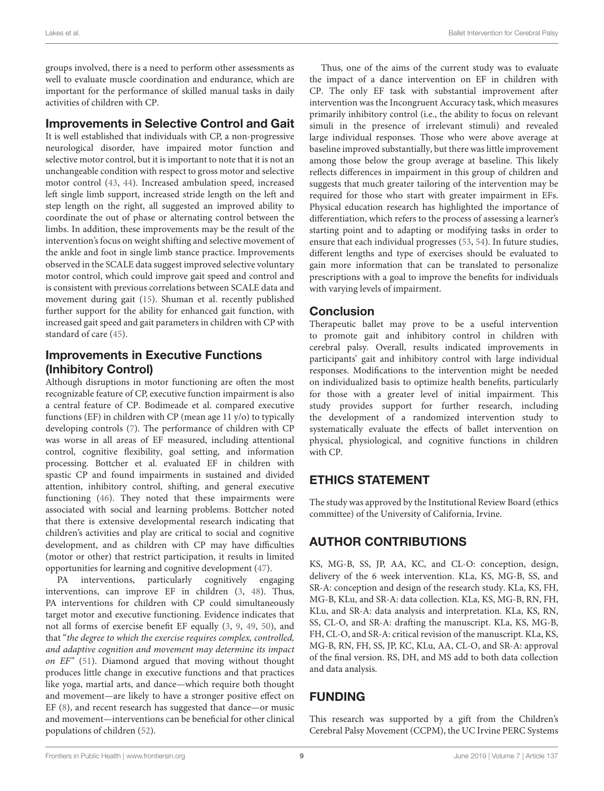groups involved, there is a need to perform other assessments as well to evaluate muscle coordination and endurance, which are important for the performance of skilled manual tasks in daily activities of children with CP.

# Improvements in Selective Control and Gait

It is well established that individuals with CP, a non-progressive neurological disorder, have impaired motor function and selective motor control, but it is important to note that it is not an unchangeable condition with respect to gross motor and selective motor control [\(43,](#page-12-8) [44\)](#page-12-9). Increased ambulation speed, increased left single limb support, increased stride length on the left and step length on the right, all suggested an improved ability to coordinate the out of phase or alternating control between the limbs. In addition, these improvements may be the result of the intervention's focus on weight shifting and selective movement of the ankle and foot in single limb stance practice. Improvements observed in the SCALE data suggest improved selective voluntary motor control, which could improve gait speed and control and is consistent with previous correlations between SCALE data and movement during gait [\(15\)](#page-11-13). Shuman et al. recently published further support for the ability for enhanced gait function, with increased gait speed and gait parameters in children with CP with standard of care [\(45\)](#page-12-10).

# Improvements in Executive Functions (Inhibitory Control)

Although disruptions in motor functioning are often the most recognizable feature of CP, executive function impairment is also a central feature of CP. Bodimeade et al. compared executive functions (EF) in children with CP (mean age 11 y/o) to typically developing controls [\(7\)](#page-11-6). The performance of children with CP was worse in all areas of EF measured, including attentional control, cognitive flexibility, goal setting, and information processing. Bottcher et al. evaluated EF in children with spastic CP and found impairments in sustained and divided attention, inhibitory control, shifting, and general executive functioning [\(46\)](#page-12-11). They noted that these impairments were associated with social and learning problems. Bottcher noted that there is extensive developmental research indicating that children's activities and play are critical to social and cognitive development, and as children with CP may have difficulties (motor or other) that restrict participation, it results in limited opportunities for learning and cognitive development [\(47\)](#page-12-12).

PA interventions, particularly cognitively engaging interventions, can improve EF in children [\(3,](#page-11-2) [48\)](#page-12-13). Thus, PA interventions for children with CP could simultaneously target motor and executive functioning. Evidence indicates that not all forms of exercise benefit EF equally [\(3,](#page-11-2) [9,](#page-11-8) [49,](#page-12-14) [50\)](#page-12-15), and that "the degree to which the exercise requires complex, controlled, and adaptive cognition and movement may determine its impact on EF" [\(51\)](#page-12-16). Diamond argued that moving without thought produces little change in executive functions and that practices like yoga, martial arts, and dance—which require both thought and movement—are likely to have a stronger positive effect on EF [\(8\)](#page-11-7), and recent research has suggested that dance—or music and movement—interventions can be beneficial for other clinical populations of children [\(52\)](#page-12-17).

Thus, one of the aims of the current study was to evaluate the impact of a dance intervention on EF in children with CP. The only EF task with substantial improvement after intervention was the Incongruent Accuracy task, which measures primarily inhibitory control (i.e., the ability to focus on relevant simuli in the presence of irrelevant stimuli) and revealed large individual responses. Those who were above average at baseline improved substantially, but there was little improvement among those below the group average at baseline. This likely reflects differences in impairment in this group of children and suggests that much greater tailoring of the intervention may be required for those who start with greater impairment in EFs. Physical education research has highlighted the importance of differentiation, which refers to the process of assessing a learner's starting point and to adapting or modifying tasks in order to ensure that each individual progresses [\(53,](#page-12-18) [54\)](#page-12-19). In future studies, different lengths and type of exercises should be evaluated to gain more information that can be translated to personalize prescriptions with a goal to improve the benefits for individuals with varying levels of impairment.

# **Conclusion**

Therapeutic ballet may prove to be a useful intervention to promote gait and inhibitory control in children with cerebral palsy. Overall, results indicated improvements in participants' gait and inhibitory control with large individual responses. Modifications to the intervention might be needed on individualized basis to optimize health benefits, particularly for those with a greater level of initial impairment. This study provides support for further research, including the development of a randomized intervention study to systematically evaluate the effects of ballet intervention on physical, physiological, and cognitive functions in children with CP.

# ETHICS STATEMENT

The study was approved by the Institutional Review Board (ethics committee) of the University of California, Irvine.

# AUTHOR CONTRIBUTIONS

KS, MG-B, SS, JP, AA, KC, and CL-O: conception, design, delivery of the 6 week intervention. KLa, KS, MG-B, SS, and SR-A: conception and design of the research study. KLa, KS, FH, MG-B, KLu, and SR-A: data collection. KLa, KS, MG-B, RN, FH, KLu, and SR-A: data analysis and interpretation. KLa, KS, RN, SS, CL-O, and SR-A: drafting the manuscript. KLa, KS, MG-B, FH, CL-O, and SR-A: critical revision of the manuscript. KLa, KS, MG-B, RN, FH, SS, JP, KC, KLu, AA, CL-O, and SR-A: approval of the final version. RS, DH, and MS add to both data collection and data analysis.

# FUNDING

This research was supported by a gift from the Children's Cerebral Palsy Movement (CCPM), the UC Irvine PERC Systems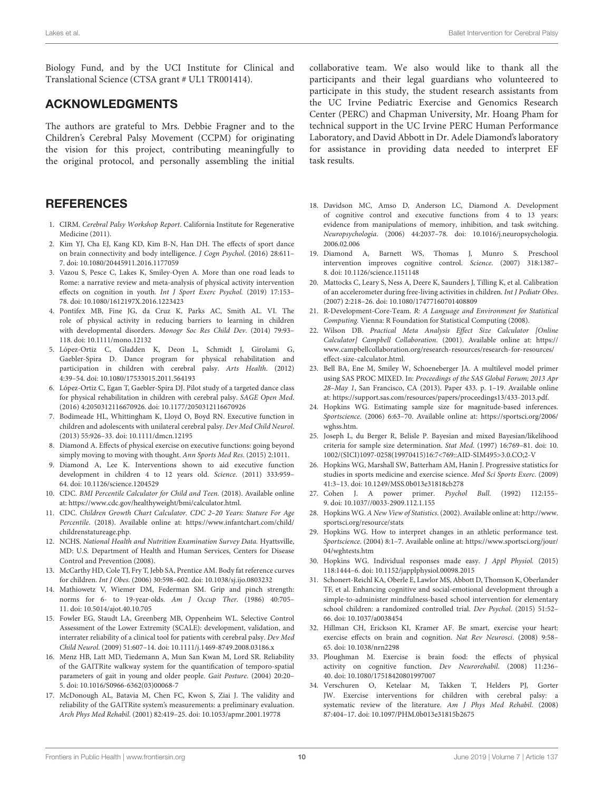Biology Fund, and by the UCI Institute for Clinical and Translational Science (CTSA grant # UL1 TR001414).

# ACKNOWLEDGMENTS

The authors are grateful to Mrs. Debbie Fragner and to the Children's Cerebral Palsy Movement (CCPM) for originating the vision for this project, contributing meaningfully to the original protocol, and personally assembling the initial

# **REFERENCES**

- <span id="page-11-0"></span>1. CIRM. Cerebral Palsy Workshop Report. California Institute for Regenerative Medicine (2011).
- <span id="page-11-1"></span>2. Kim YJ, Cha EJ, Kang KD, Kim B-N, Han DH. The effects of sport dance on brain connectivity and body intelligence. J Cogn Psychol. (2016) 28:611– 7. doi: [10.1080/20445911.2016.1177059](https://doi.org/10.1080/20445911.2016.1177059)
- <span id="page-11-2"></span>3. Vazou S, Pesce C, Lakes K, Smiley-Oyen A. More than one road leads to Rome: a narrative review and meta-analysis of physical activity intervention effects on cognition in youth. Int J Sport Exerc Psychol. (2019) 17:153– 78. doi: [10.1080/1612197X.2016.1223423](https://doi.org/10.1080/1612197X.2016.1223423)
- <span id="page-11-3"></span>4. Pontifex MB, Fine JG, da Cruz K, Parks AC, Smith AL. VI. The role of physical activity in reducing barriers to learning in children with developmental disorders. Monogr Soc Res Child Dev. (2014) 79:93– 118. doi: [10.1111/mono.12132](https://doi.org/10.1111/mono.12132)
- <span id="page-11-4"></span>5. López-Ortiz C, Gladden K, Deon L, Schmidt J, Girolami G, Gaebler-Spira D. Dance program for physical rehabilitation and participation in children with cerebral palsy. Arts Health. (2012) 4:39–54. doi: [10.1080/17533015.2011.564193](https://doi.org/10.1080/17533015.2011.564193)
- <span id="page-11-5"></span>6. López-Ortiz C, Egan T, Gaebler-Spira DJ. Pilot study of a targeted dance class for physical rehabilitation in children with cerebral palsy. SAGE Open Med. (2016) 4:2050312116670926. doi: [10.1177/2050312116670926](https://doi.org/10.1177/2050312116670926)
- <span id="page-11-6"></span>7. Bodimeade HL, Whittingham K, Lloyd O, Boyd RN. Executive function in children and adolescents with unilateral cerebral palsy. Dev Med Child Neurol. (2013) 55:926–33. doi: [10.1111/dmcn.12195](https://doi.org/10.1111/dmcn.12195)
- <span id="page-11-7"></span>8. Diamond A. Effects of physical exercise on executive functions: going beyond simply moving to moving with thought. Ann Sports Med Res. (2015) 2:1011.
- <span id="page-11-8"></span>9. Diamond A, Lee K. Interventions shown to aid executive function development in children 4 to 12 years old. Science. (2011) 333:959– 64. doi: [10.1126/science.1204529](https://doi.org/10.1126/science.1204529)
- <span id="page-11-9"></span>10. CDC. BMI Percentile Calculator for Child and Teen. (2018). Available online at: [https://www.cdc.gov/healthyweight/bmi/calculator.html.](https://www.cdc.gov/healthyweight/bmi/calculator.html)
- 11. CDC. Children Growth Chart Calculator. CDC 2–20 Years: Stature For Age Percentile. (2018). Available online at: [https://www.infantchart.com/child/](https://www.infantchart.com/child/childrenstatureage.php) [childrenstatureage.php.](https://www.infantchart.com/child/childrenstatureage.php)
- <span id="page-11-10"></span>12. NCHS. National Health and Nutrition Examination Survey Data. Hyattsville, MD: U.S. Department of Health and Human Services, Centers for Disease Control and Prevention (2008).
- <span id="page-11-11"></span>13. McCarthy HD, Cole TJ, Fry T, Jebb SA, Prentice AM. Body fat reference curves for children. Int J Obes. (2006) 30:598–602. doi: [10.1038/sj.ijo.0803232](https://doi.org/10.1038/sj.ijo.0803232)
- <span id="page-11-12"></span>14. Mathiowetz V, Wiemer DM, Federman SM. Grip and pinch strength: norms for 6- to 19-year-olds. Am J Occup Ther. (1986) 40:705– 11. doi: [10.5014/ajot.40.10.705](https://doi.org/10.5014/ajot.40.10.705)
- <span id="page-11-13"></span>15. Fowler EG, Staudt LA, Greenberg MB, Oppenheim WL. Selective Control Assessment of the Lower Extremity (SCALE): development, validation, and interrater reliability of a clinical tool for patients with cerebral palsy. Dev Med Child Neurol. (2009) 51:607–14. doi: [10.1111/j.1469-8749.2008.03186.x](https://doi.org/10.1111/j.1469-8749.2008.03186.x)
- <span id="page-11-14"></span>16. Menz HB, Latt MD, Tiedemann A, Mun San Kwan M, Lord SR. Reliability of the GAITRite walkway system for the quantification of temporo-spatial parameters of gait in young and older people. Gait Posture. (2004) 20:20– 5. doi: [10.1016/S0966-6362\(03\)00068-7](https://doi.org/10.1016/S0966-6362(03)00068-7)
- <span id="page-11-15"></span>17. McDonough AL, Batavia M, Chen FC, Kwon S, Ziai J. The validity and reliability of the GAITRite system's measurements: a preliminary evaluation. Arch Phys Med Rehabil. (2001) 82:419–25. doi: [10.1053/apmr.2001.19778](https://doi.org/10.1053/apmr.2001.19778)

collaborative team. We also would like to thank all the participants and their legal guardians who volunteered to participate in this study, the student research assistants from the UC Irvine Pediatric Exercise and Genomics Research Center (PERC) and Chapman University, Mr. Hoang Pham for technical support in the UC Irvine PERC Human Performance Laboratory, and David Abbott in Dr. Adele Diamond's laboratory for assistance in providing data needed to interpret EF task results.

- <span id="page-11-16"></span>18. Davidson MC, Amso D, Anderson LC, Diamond A. Development of cognitive control and executive functions from 4 to 13 years: evidence from manipulations of memory, inhibition, and task switching. Neuropsychologia[. \(2006\) 44:2037–78. doi: 10.1016/j.neuropsychologia.](https://doi.org/10.1016/j.neuropsychologia.2006.02.006) 2006.02.006
- <span id="page-11-17"></span>19. Diamond A, Barnett WS, Thomas J, Munro S. Preschool intervention improves cognitive control. Science. (2007) 318:1387– 8. doi: [10.1126/science.1151148](https://doi.org/10.1126/science.1151148)
- <span id="page-11-18"></span>20. Mattocks C, Leary S, Ness A, Deere K, Saunders J, Tilling K, et al. Calibration of an accelerometer during free-living activities in children. Int J Pediatr Obes. (2007) 2:218–26. doi: [10.1080/17477160701408809](https://doi.org/10.1080/17477160701408809)
- <span id="page-11-19"></span>21. R-Development-Core-Team. R: A Language and Environment for Statistical Computing. Vienna: R Foundation for Statistical Computing (2008).
- <span id="page-11-20"></span>22. Wilson DB. Practical Meta Analysis Effect Size Calculator [Online Calculator] Campbell Collaboration. (2001). Available online at: [https://](https://www.campbellcollaboration.org/research-resources/research-for-resources/effect-size-calculator.html) [www.campbellcollaboration.org/research-resources/research-for-resources/](https://www.campbellcollaboration.org/research-resources/research-for-resources/effect-size-calculator.html) [effect-size-calculator.html.](https://www.campbellcollaboration.org/research-resources/research-for-resources/effect-size-calculator.html)
- <span id="page-11-21"></span>23. Bell BA, Ene M, Smiley W, Schoeneberger JA. A multilevel model primer using SAS PROC MIXED. In: Proceedings of the SAS Global Forum; 2013 Apr 28–May 1, San Francisco, CA (2013). Paper 433. p. 1–19. Available online at: [https://support.sas.com/resources/papers/proceedings13/433-2013.pdf.](https://support.sas.com/resources/papers/proceedings13/433-2013.pdf)
- <span id="page-11-22"></span>24. Hopkins WG. Estimating sample size for magnitude-based inferences. Sportscience. (2006) 6:63–70. Available online at: [https://sportsci.org/2006/](https://sportsci.org/2006/wghss.htm) [wghss.htm.](https://sportsci.org/2006/wghss.htm)
- <span id="page-11-23"></span>25. Joseph L, du Berger R, Belisle P. Bayesian and mixed Bayesian/likelihood criteria for sample size determination. Stat Med. (1997) 16:769–81. doi: 10. [1002/\(SICI\)1097-0258\(19970415\)16:7<769::AID-SIM495>3.0.CO;2-V](https://doi.org/10.1002/(SICI)1097-0258(19970415)16:7<769::AID-SIM495>3.0.CO;2-V)
- <span id="page-11-24"></span>26. Hopkins WG, Marshall SW, Batterham AM, Hanin J. Progressive statistics for studies in sports medicine and exercise science. Med Sci Sports Exerc. (2009) 41:3–13. doi: [10.1249/MSS.0b013e31818cb278](https://doi.org/10.1249/MSS.0b013e31818cb278)
- <span id="page-11-25"></span>27. Cohen J. A power primer. Psychol Bull. (1992) 112:155– 9. doi: [10.1037//0033-2909.112.1.155](https://doi.org/10.1037//0033-2909.112.1.155)
- <span id="page-11-26"></span>28. Hopkins WG. A New View of Statistics. (2002). Available online at: [http://www.](http://www.sportsci.org/resource/stats) [sportsci.org/resource/stats](http://www.sportsci.org/resource/stats)
- 29. Hopkins WG. How to interpret changes in an athletic performance test. Sportscience. (2004) 8:1–7. Available online at: [https://www.sportsci.org/jour/](https://www.sportsci.org/jour/04/wghtests.htm) [04/wghtests.htm](https://www.sportsci.org/jour/04/wghtests.htm)
- <span id="page-11-27"></span>30. Hopkins WG. Individual responses made easy. J Appl Physiol. (2015) 118:1444–6. doi: [10.1152/japplphysiol.00098.2015](https://doi.org/10.1152/japplphysiol.00098.2015)
- <span id="page-11-28"></span>31. Schonert-Reichl KA, Oberle E, Lawlor MS, Abbott D, Thomson K, Oberlander TF, et al. Enhancing cognitive and social-emotional development through a simple-to-administer mindfulness-based school intervention for elementary school children: a randomized controlled trial. Dev Psychol. (2015) 51:52– 66. doi: [10.1037/a0038454](https://doi.org/10.1037/a0038454)
- <span id="page-11-29"></span>32. Hillman CH, Erickson KI, Kramer AF. Be smart, exercise your heart: exercise effects on brain and cognition. Nat Rev Neurosci. (2008) 9:58-65. doi: [10.1038/nrn2298](https://doi.org/10.1038/nrn2298)
- <span id="page-11-30"></span>33. Ploughman M. Exercise is brain food: the effects of physical activity on cognitive function. Dev Neurorehabil. (2008) 11:236– 40. doi: [10.1080/17518420801997007](https://doi.org/10.1080/17518420801997007)
- <span id="page-11-31"></span>34. Verschuren O, Ketelaar M, Takken T, Helders PJ, Gorter JW. Exercise interventions for children with cerebral palsy: a systematic review of the literature. Am J Phys Med Rehabil. (2008) 87:404–17. doi: [10.1097/PHM.0b013e31815b2675](https://doi.org/10.1097/PHM.0b013e31815b2675)